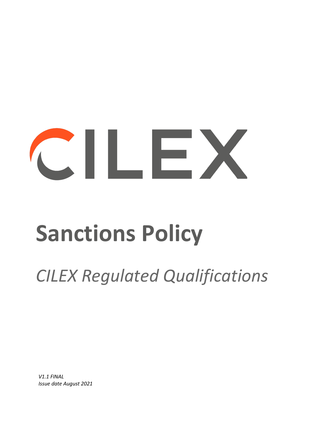# CILEX

# **Sanctions Policy**

# *CILEX Regulated Qualifications*

*V1.1 FINAL Issue date August 2021*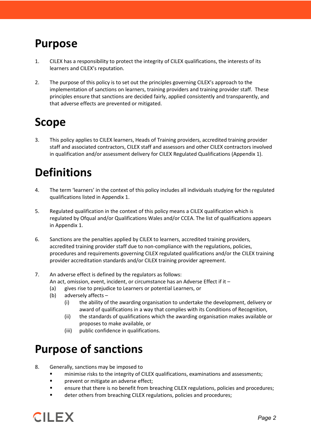#### **Purpose**

- 1. CILEX has a responsibility to protect the integrity of CILEX qualifications, the interests of its learners and CILEX's reputation.
- 2. The purpose of this policy is to set out the principles governing CILEX's approach to the implementation of sanctions on learners, training providers and training provider staff. These principles ensure that sanctions are decided fairly, applied consistently and transparently, and that adverse effects are prevented or mitigated.

#### **Scope**

3. This policy applies to CILEX learners, Heads of Training providers, accredited training provider staff and associated contractors, CILEX staff and assessors and other CILEX contractors involved in qualification and/or assessment delivery for CILEX Regulated Qualifications (Appendix 1).

# **Definitions**

- 4. The term 'learners' in the context of this policy includes all individuals studying for the regulated qualifications listed in Appendix 1.
- 5. Regulated qualification in the context of this policy means a CILEX qualification which is regulated by Ofqual and/or Qualifications Wales and/or CCEA. The list of qualifications appears in Appendix 1.
- 6. Sanctions are the penalties applied by CILEX to learners, accredited training providers, accredited training provider staff due to non-compliance with the regulations, policies, procedures and requirements governing CILEX regulated qualifications and/or the CILEX training provider accreditation standards and/or CILEX training provider agreement.
- 7. An adverse effect is defined by the regulators as follows:
	- An act, omission, event, incident, or circumstance has an Adverse Effect if it –
	- (a) gives rise to prejudice to Learners or potential Learners, or
	- (b) adversely affects
		- (i) the ability of the awarding organisation to undertake the development, delivery or award of qualifications in a way that complies with its Conditions of Recognition,
		- (ii) the standards of qualifications which the awarding organisation makes available or proposes to make available, or
		- (iii) public confidence in qualifications.

#### **Purpose of sanctions**

- 8. Generally, sanctions may be imposed to
	- minimise risks to the integrity of CILEX qualifications, examinations and assessments;
	- **Paragement or mitigate an adverse effect;**
	- **EXECT** ensure that there is no benefit from breaching CILEX regulations, policies and procedures;
	- deter others from breaching CILEX regulations, policies and procedures;

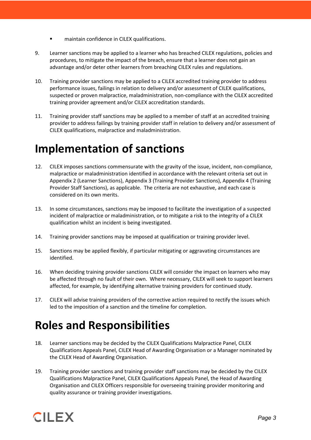- **EXECUTE:** maintain confidence in CILEX qualifications.
- 9. Learner sanctions may be applied to a learner who has breached CILEX regulations, policies and procedures, to mitigate the impact of the breach, ensure that a learner does not gain an advantage and/or deter other learners from breaching CILEX rules and regulations.
- 10. Training provider sanctions may be applied to a CILEX accredited training provider to address performance issues, failings in relation to delivery and/or assessment of CILEX qualifications, suspected or proven malpractice, maladministration, non-compliance with the CILEX accredited training provider agreement and/or CILEX accreditation standards.
- 11. Training provider staff sanctions may be applied to a member of staff at an accredited training provider to address failings by training provider staff in relation to delivery and/or assessment of CILEX qualifications, malpractice and maladministration.

#### **Implementation of sanctions**

- 12. CILEX imposes sanctions commensurate with the gravity of the issue, incident, non-compliance, malpractice or maladministration identified in accordance with the relevant criteria set out in Appendix 2 (Learner Sanctions), Appendix 3 (Training Provider Sanctions), Appendix 4 (Training Provider Staff Sanctions), as applicable. The criteria are not exhaustive, and each case is considered on its own merits.
- 13. In some circumstances, sanctions may be imposed to facilitate the investigation of a suspected incident of malpractice or maladministration, or to mitigate a risk to the integrity of a CILEX qualification whilst an incident is being investigated.
- 14. Training provider sanctions may be imposed at qualification or training provider level.
- 15. Sanctions may be applied flexibly, if particular mitigating or aggravating circumstances are identified.
- 16. When deciding training provider sanctions CILEX will consider the impact on learners who may be affected through no fault of their own. Where necessary, CILEX will seek to support learners affected, for example, by identifying alternative training providers for continued study.
- 17. CILEX will advise training providers of the corrective action required to rectify the issues which led to the imposition of a sanction and the timeline for completion.

#### **Roles and Responsibilities**

- 18. Learner sanctions may be decided by the CILEX Qualifications Malpractice Panel, CILEX Qualifications Appeals Panel, CILEX Head of Awarding Organisation or a Manager nominated by the CILEX Head of Awarding Organisation.
- 19. Training provider sanctions and training provider staff sanctions may be decided by the CILEX Qualifications Malpractice Panel, CILEX Qualifications Appeals Panel, the Head of Awarding Organisation and CILEX Officers responsible for overseeing training provider monitoring and quality assurance or training provider investigations.

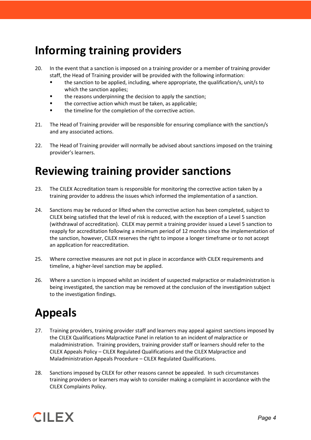#### **Informing training providers**

- 20. In the event that a sanction is imposed on a training provider or a member of training provider staff, the Head of Training provider will be provided with the following information:
	- the sanction to be applied, including, where appropriate, the qualification/s, unit/s to which the sanction applies;
	- **the reasons underpinning the decision to apply the sanction;**
	- **the corrective action which must be taken, as applicable;**
	- the timeline for the completion of the corrective action.
- 21. The Head of Training provider will be responsible for ensuring compliance with the sanction/s and any associated actions.
- 22. The Head of Training provider will normally be advised about sanctions imposed on the training provider's learners.

### **Reviewing training provider sanctions**

- 23. The CILEX Accreditation team is responsible for monitoring the corrective action taken by a training provider to address the issues which informed the implementation of a sanction.
- 24. Sanctions may be reduced or lifted when the corrective action has been completed, subject to CILEX being satisfied that the level of risk is reduced, with the exception of a Level 5 sanction (withdrawal of accreditation). CILEX may permit a training provider issued a Level 5 sanction to reapply for accreditation following a minimum period of 12 months since the implementation of the sanction, however, CILEX reserves the right to impose a longer timeframe or to not accept an application for reaccreditation.
- 25. Where corrective measures are not put in place in accordance with CILEX requirements and timeline, a higher-level sanction may be applied.
- 26. Where a sanction is imposed whilst an incident of suspected malpractice or maladministration is being investigated, the sanction may be removed at the conclusion of the investigation subject to the investigation findings.

## **Appeals**

- 27. Training providers, training provider staff and learners may appeal against sanctions imposed by the CILEX Qualifications Malpractice Panel in relation to an incident of malpractice or maladministration. Training providers, training provider staff or learners should refer to the CILEX Appeals Policy – CILEX Regulated Qualifications and the CILEX Malpractice and Maladministration Appeals Procedure – CILEX Regulated Qualifications.
- 28. Sanctions imposed by CILEX for other reasons cannot be appealed. In such circumstances training providers or learners may wish to consider making a complaint in accordance with the CILEX Complaints Policy.

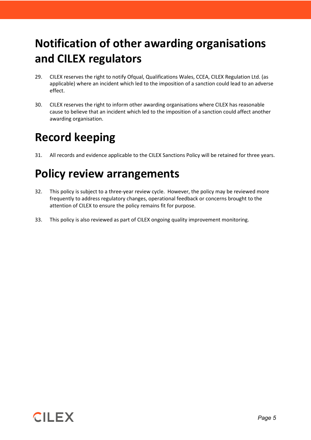# **Notification of other awarding organisations and CILEX regulators**

- 29. CILEX reserves the right to notify Ofqual, Qualifications Wales, CCEA, CILEX Regulation Ltd. (as applicable) where an incident which led to the imposition of a sanction could lead to an adverse effect.
- 30. CILEX reserves the right to inform other awarding organisations where CILEX has reasonable cause to believe that an incident which led to the imposition of a sanction could affect another awarding organisation.

### **Record keeping**

31. All records and evidence applicable to the CILEX Sanctions Policy will be retained for three years.

## **Policy review arrangements**

- 32. This policy is subject to a three-year review cycle. However, the policy may be reviewed more frequently to address regulatory changes, operational feedback or concerns brought to the attention of CILEX to ensure the policy remains fit for purpose.
- 33. This policy is also reviewed as part of CILEX ongoing quality improvement monitoring.

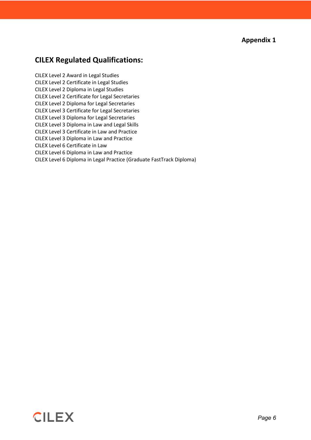**Appendix 1**

#### **CILEX Regulated Qualifications:**

CILEX Level 2 Award in Legal Studies CILEX Level 2 Certificate in Legal Studies CILEX Level 2 Diploma in Legal Studies CILEX Level 2 Certificate for Legal Secretaries CILEX Level 2 Diploma for Legal Secretaries CILEX Level 3 Certificate for Legal Secretaries CILEX Level 3 Diploma for Legal Secretaries CILEX Level 3 Diploma in Law and Legal Skills CILEX Level 3 Certificate in Law and Practice CILEX Level 3 Diploma in Law and Practice CILEX Level 6 Certificate in Law CILEX Level 6 Diploma in Law and Practice CILEX Level 6 Diploma in Legal Practice (Graduate FastTrack Diploma)

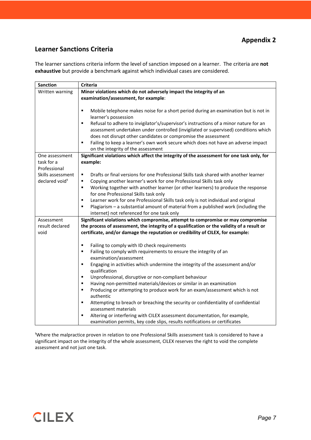#### **Learner Sanctions Criteria**

The learner sanctions criteria inform the level of sanction imposed on a learner. The criteria are **not exhaustive** but provide a benchmark against which individual cases are considered.

| <b>Sanction</b>            | Criteria                                                                                   |  |  |
|----------------------------|--------------------------------------------------------------------------------------------|--|--|
| Written warning            | Minor violations which do not adversely impact the integrity of an                         |  |  |
|                            | examination/assessment, for example:                                                       |  |  |
|                            |                                                                                            |  |  |
|                            | ٠<br>Mobile telephone makes noise for a short period during an examination but is not in   |  |  |
|                            | learner's possession                                                                       |  |  |
|                            | Refusal to adhere to invigilator's/supervisor's instructions of a minor nature for an<br>٠ |  |  |
|                            | assessment undertaken under controlled (invigilated or supervised) conditions which        |  |  |
|                            | does not disrupt other candidates or compromise the assessment                             |  |  |
|                            | Failing to keep a learner's own work secure which does not have an adverse impact<br>٠     |  |  |
|                            | on the integrity of the assessment                                                         |  |  |
| One assessment             | Significant violations which affect the integrity of the assessment for one task only, for |  |  |
| task for a                 | example:                                                                                   |  |  |
| Professional               |                                                                                            |  |  |
| Skills assessment          | Drafts or final versions for one Professional Skills task shared with another learner<br>٠ |  |  |
| declared void <sup>1</sup> | Copying another learner's work for one Professional Skills task only<br>٠                  |  |  |
|                            | Working together with another learner (or other learners) to produce the response<br>٠     |  |  |
|                            | for one Professional Skills task only                                                      |  |  |
|                            | Learner work for one Professional Skills task only is not individual and original<br>٠     |  |  |
|                            | Plagiarism - a substantial amount of material from a published work (including the<br>٠    |  |  |
|                            | internet) not referenced for one task only                                                 |  |  |
| Assessment                 | Significant violations which compromise, attempt to compromise or may compromise           |  |  |
| result declared            | the process of assessment, the integrity of a qualification or the validity of a result or |  |  |
| void                       | certificate, and/or damage the reputation or credibility of CILEX, for example:            |  |  |
|                            |                                                                                            |  |  |
|                            | Failing to comply with ID check requirements<br>٠                                          |  |  |
|                            | Failing to comply with requirements to ensure the integrity of an<br>٠                     |  |  |
|                            | examination/assessment                                                                     |  |  |
|                            | Engaging in activities which undermine the integrity of the assessment and/or<br>٠         |  |  |
|                            | qualification                                                                              |  |  |
|                            | Unprofessional, disruptive or non-compliant behaviour<br>٠                                 |  |  |
|                            | Having non-permitted materials/devices or similar in an examination<br>٠                   |  |  |
|                            | Producing or attempting to produce work for an exam/assessment which is not<br>٠           |  |  |
|                            | authentic                                                                                  |  |  |
|                            | Attempting to breach or breaching the security or confidentiality of confidential<br>٠     |  |  |
|                            | assessment materials                                                                       |  |  |
|                            | Altering or interfering with CILEX assessment documentation, for example,<br>٠             |  |  |
|                            | examination permits, key code slips, results notifications or certificates                 |  |  |

<sup>1</sup>Where the malpractice proven in relation to one Professional Skills assessment task is considered to have a significant impact on the integrity of the whole assessment, CILEX reserves the right to void the complete assessment and not just one task.

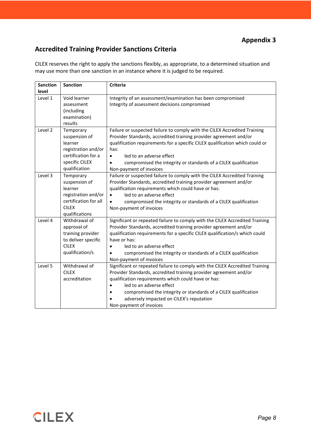#### **Accredited Training Provider Sanctions Criteria**

CILEX reserves the right to apply the sanctions flexibly, as appropriate, to a determined situation and may use more than one sanction in an instance where it is judged to be required.

| <b>Sanction</b><br>level | <b>Sanction</b>                                                                                                         | <b>Criteria</b>                                                                                                                                                                                                                                                                                                                                                                                          |
|--------------------------|-------------------------------------------------------------------------------------------------------------------------|----------------------------------------------------------------------------------------------------------------------------------------------------------------------------------------------------------------------------------------------------------------------------------------------------------------------------------------------------------------------------------------------------------|
| Level 1                  | Void learner<br>assessment<br>(including<br>examination)<br>results                                                     | Integrity of an assessment/examination has been compromised<br>Integrity of assessment decisions compromised                                                                                                                                                                                                                                                                                             |
| Level 2                  | Temporary<br>suspension of<br>learner<br>registration and/or<br>certification for a<br>specific CILEX<br>qualification  | Failure or suspected failure to comply with the CILEX Accredited Training<br>Provider Standards, accredited training provider agreement and/or<br>qualification requirements for a specific CILEX qualification which could or<br>has:<br>led to an adverse effect<br>$\bullet$<br>compromised the integrity or standards of a CILEX qualification<br>$\bullet$<br>Non-payment of invoices               |
| Level 3                  | Temporary<br>suspension of<br>learner<br>registration and/or<br>certification for all<br><b>CILEX</b><br>qualifications | Failure or suspected failure to comply with the CILEX Accredited Training<br>Provider Standards, accredited training provider agreement and/or<br>qualification requirements which could have or has:<br>led to an adverse effect<br>$\bullet$<br>compromised the integrity or standards of a CILEX qualification<br>$\bullet$<br>Non-payment of invoices                                                |
| Level 4                  | Withdrawal of<br>approval of<br>training provider<br>to deliver specific<br><b>CILEX</b><br>qualification/s             | Significant or repeated failure to comply with the CILEX Accredited Training<br>Provider Standards, accredited training provider agreement and/or<br>qualification requirements for a specific CILEX qualification/s which could<br>have or has:<br>led to an adverse effect<br>$\bullet$<br>compromised the integrity or standards of a CILEX qualification<br>$\bullet$<br>Non-payment of invoices     |
| Level 5                  | Withdrawal of<br><b>CILEX</b><br>accreditation                                                                          | Significant or repeated failure to comply with the CILEX Accredited Training<br>Provider Standards, accredited training provider agreement and/or<br>qualification requirements which could have or has:<br>led to an adverse effect<br>$\bullet$<br>compromised the integrity or standards of a CILEX qualification<br>$\bullet$<br>adversely impacted on CILEX's reputation<br>Non-payment of invoices |